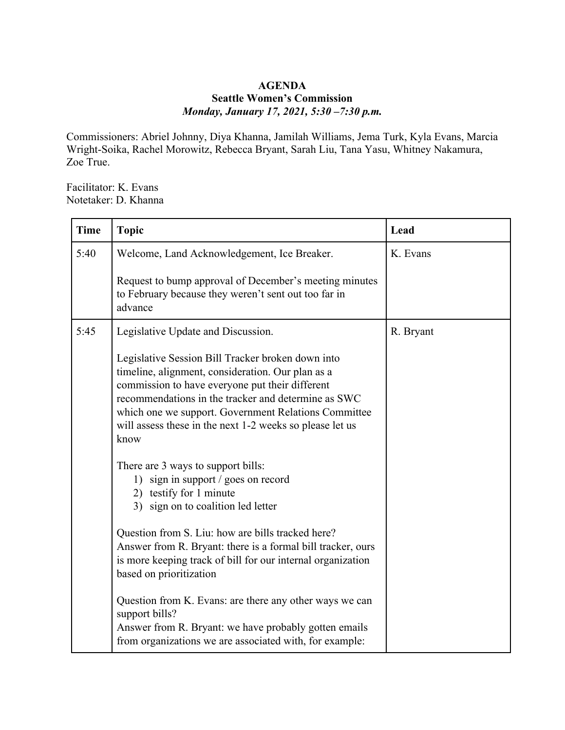## **AGENDA Seattle Women's Commission** *Monday, January 17, 2021, 5:30 –7:30 p.m.*

Commissioners: Abriel Johnny, Diya Khanna, Jamilah Williams, Jema Turk, Kyla Evans, Marcia Wright-Soika, Rachel Morowitz, Rebecca Bryant, Sarah Liu, Tana Yasu, Whitney Nakamura, Zoe True.

Facilitator: K. Evans Notetaker: D. Khanna

| <b>Time</b> | <b>Topic</b>                                                                                                                                                                                                                                                                                                                                 | Lead      |
|-------------|----------------------------------------------------------------------------------------------------------------------------------------------------------------------------------------------------------------------------------------------------------------------------------------------------------------------------------------------|-----------|
| 5:40        | Welcome, Land Acknowledgement, Ice Breaker.                                                                                                                                                                                                                                                                                                  | K. Evans  |
|             | Request to bump approval of December's meeting minutes<br>to February because they weren't sent out too far in<br>advance                                                                                                                                                                                                                    |           |
| 5:45        | Legislative Update and Discussion.                                                                                                                                                                                                                                                                                                           | R. Bryant |
|             | Legislative Session Bill Tracker broken down into<br>timeline, alignment, consideration. Our plan as a<br>commission to have everyone put their different<br>recommendations in the tracker and determine as SWC<br>which one we support. Government Relations Committee<br>will assess these in the next 1-2 weeks so please let us<br>know |           |
|             | There are 3 ways to support bills:<br>1) sign in support / goes on record<br>2) testify for 1 minute<br>3) sign on to coalition led letter                                                                                                                                                                                                   |           |
|             | Question from S. Liu: how are bills tracked here?<br>Answer from R. Bryant: there is a formal bill tracker, ours<br>is more keeping track of bill for our internal organization<br>based on prioritization                                                                                                                                   |           |
|             | Question from K. Evans: are there any other ways we can<br>support bills?<br>Answer from R. Bryant: we have probably gotten emails<br>from organizations we are associated with, for example:                                                                                                                                                |           |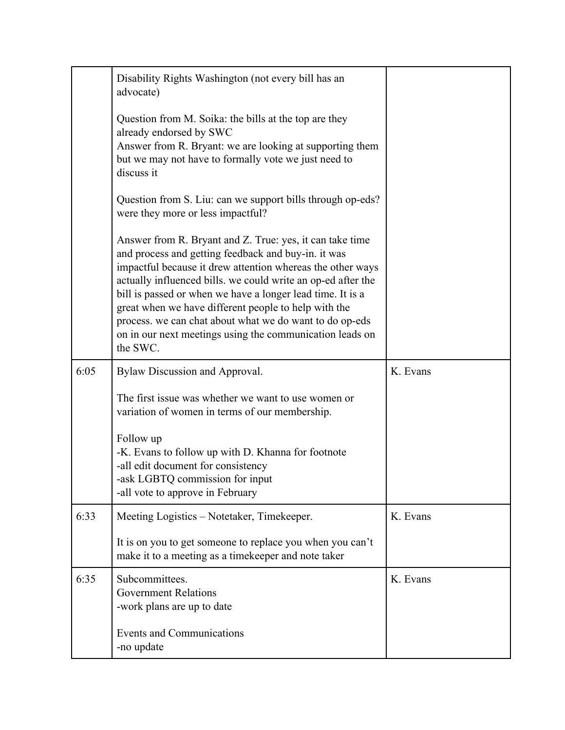|      | Disability Rights Washington (not every bill has an<br>advocate)                                                                                                                                                                                                                                                                                                                                                                                                                                       |          |
|------|--------------------------------------------------------------------------------------------------------------------------------------------------------------------------------------------------------------------------------------------------------------------------------------------------------------------------------------------------------------------------------------------------------------------------------------------------------------------------------------------------------|----------|
|      | Question from M. Soika: the bills at the top are they<br>already endorsed by SWC<br>Answer from R. Bryant: we are looking at supporting them<br>but we may not have to formally vote we just need to<br>discuss it                                                                                                                                                                                                                                                                                     |          |
|      | Question from S. Liu: can we support bills through op-eds?<br>were they more or less impactful?                                                                                                                                                                                                                                                                                                                                                                                                        |          |
|      | Answer from R. Bryant and Z. True: yes, it can take time<br>and process and getting feedback and buy-in. it was<br>impactful because it drew attention whereas the other ways<br>actually influenced bills. we could write an op-ed after the<br>bill is passed or when we have a longer lead time. It is a<br>great when we have different people to help with the<br>process. we can chat about what we do want to do op-eds<br>on in our next meetings using the communication leads on<br>the SWC. |          |
|      |                                                                                                                                                                                                                                                                                                                                                                                                                                                                                                        |          |
| 6:05 | Bylaw Discussion and Approval.                                                                                                                                                                                                                                                                                                                                                                                                                                                                         | K. Evans |
|      | The first issue was whether we want to use women or<br>variation of women in terms of our membership.                                                                                                                                                                                                                                                                                                                                                                                                  |          |
|      | Follow up<br>-K. Evans to follow up with D. Khanna for footnote<br>-all edit document for consistency<br>-ask LGBTQ commission for input<br>-all vote to approve in February                                                                                                                                                                                                                                                                                                                           |          |
| 6:33 | Meeting Logistics - Notetaker, Timekeeper.                                                                                                                                                                                                                                                                                                                                                                                                                                                             | K. Evans |
|      | It is on you to get someone to replace you when you can't<br>make it to a meeting as a timekeeper and note taker                                                                                                                                                                                                                                                                                                                                                                                       |          |
| 6:35 | Subcommittees.<br><b>Government Relations</b><br>-work plans are up to date                                                                                                                                                                                                                                                                                                                                                                                                                            | K. Evans |